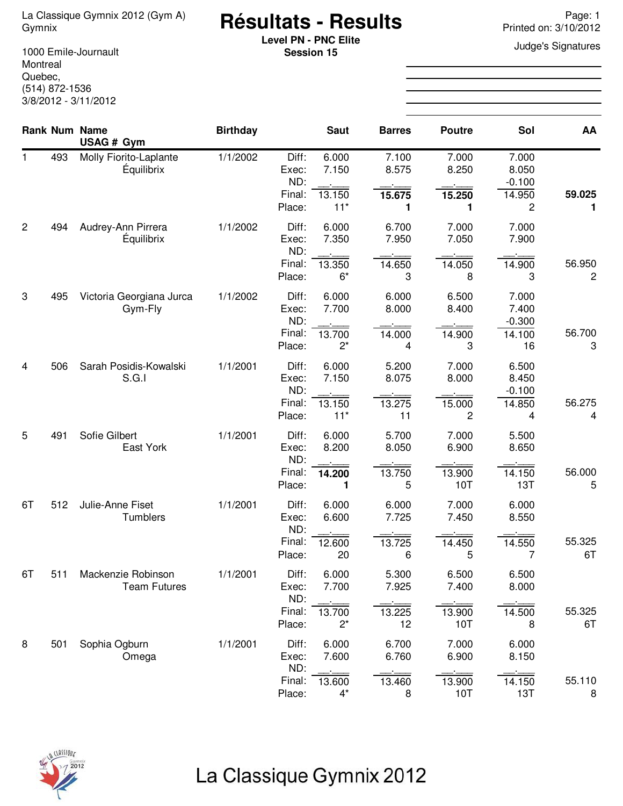# **Résultats - Results** La Classique Gymnix 2012 (Gym A) Page: 1 Gymnix Printed on: 3/10/2012

**Level PN - PNC Elite Containers Level PN - PNC Elite Judge's Signatures Session 15**

1000 Emile-Journault Montreal Quebec, (514) 872-1536 3/8/2012 - 3/11/2012

|                |     | <b>Rank Num Name</b><br>USAG # Gym          | <b>Birthday</b> |                                           | <b>Saut</b>                       | <b>Barres</b>                  | <b>Poutre</b>                   | Sol                                        | AA                       |
|----------------|-----|---------------------------------------------|-----------------|-------------------------------------------|-----------------------------------|--------------------------------|---------------------------------|--------------------------------------------|--------------------------|
| $\mathbf 1$    | 493 | Molly Fiorito-Laplante<br><b>Équilibrix</b> | 1/1/2002        | Diff:<br>Exec:<br>ND:<br>Final:<br>Place: | 6.000<br>7.150<br>13.150<br>$11*$ | 7.100<br>8.575<br>15.675<br>1  | 7.000<br>8.250<br>15.250<br>1   | 7.000<br>8.050<br>$-0.100$<br>14.950<br>2  | 59.025<br>1              |
| $\overline{c}$ | 494 | Audrey-Ann Pirrera<br>Équilibrix            | 1/1/2002        | Diff:<br>Exec:<br>ND:<br>Final:<br>Place: | 6.000<br>7.350<br>13.350<br>$6*$  | 6.700<br>7.950<br>14.650<br>3  | 7.000<br>7.050<br>14.050<br>8   | 7.000<br>7.900<br>14.900<br>3              | 56.950<br>$\overline{c}$ |
| 3              | 495 | Victoria Georgiana Jurca<br>Gym-Fly         | 1/1/2002        | Diff:<br>Exec:<br>ND:<br>Final:<br>Place: | 6.000<br>7.700<br>13.700<br>$2^*$ | 6.000<br>8.000<br>14.000<br>4  | 6.500<br>8.400<br>14.900<br>3   | 7.000<br>7.400<br>$-0.300$<br>14.100<br>16 | 56.700<br>3              |
| 4              | 506 | Sarah Posidis-Kowalski<br>S.G.I             | 1/1/2001        | Diff:<br>Exec:<br>ND:<br>Final:<br>Place: | 6.000<br>7.150<br>13.150<br>$11*$ | 5.200<br>8.075<br>13.275<br>11 | 7.000<br>8.000<br>15.000<br>2   | 6.500<br>8.450<br>$-0.100$<br>14.850<br>4  | 56.275<br>4              |
| 5              | 491 | Sofie Gilbert<br>East York                  | 1/1/2001        | Diff:<br>Exec:<br>ND:<br>Final:<br>Place: | 6.000<br>8.200<br>14.200<br>1     | 5.700<br>8.050<br>13.750<br>5  | 7.000<br>6.900<br>13.900<br>10T | 5.500<br>8.650<br>14.150<br>13T            | 56.000<br>5              |
| 6T             | 512 | Julie-Anne Fiset<br>Tumblers                | 1/1/2001        | Diff:<br>Exec:<br>ND:<br>Final:<br>Place: | 6.000<br>6.600<br>12.600<br>20    | 6.000<br>7.725<br>13.725<br>6  | 7.000<br>7.450<br>14.450<br>5   | 6.000<br>8.550<br>14.550<br>7              | 55.325<br>6T             |
| 6T             | 511 | Mackenzie Robinson<br><b>Team Futures</b>   | 1/1/2001        | Diff:<br>Exec:<br>ND:<br>Final:<br>Place: | 6.000<br>7.700<br>13.700<br>$2^*$ | 5.300<br>7.925<br>13.225<br>12 | 6.500<br>7.400<br>13.900<br>10T | 6.500<br>8.000<br>14.500<br>8              | 55.325<br>6T             |
| 8              | 501 | Sophia Ogburn<br>Omega                      | 1/1/2001        | Diff:<br>Exec:<br>ND:<br>Final:<br>Place: | 6.000<br>7.600<br>13.600<br>$4^*$ | 6.700<br>6.760<br>13.460<br>8  | 7.000<br>6.900<br>13.900<br>10T | 6.000<br>8.150<br>14.150<br>13T            | 55.110<br>8              |

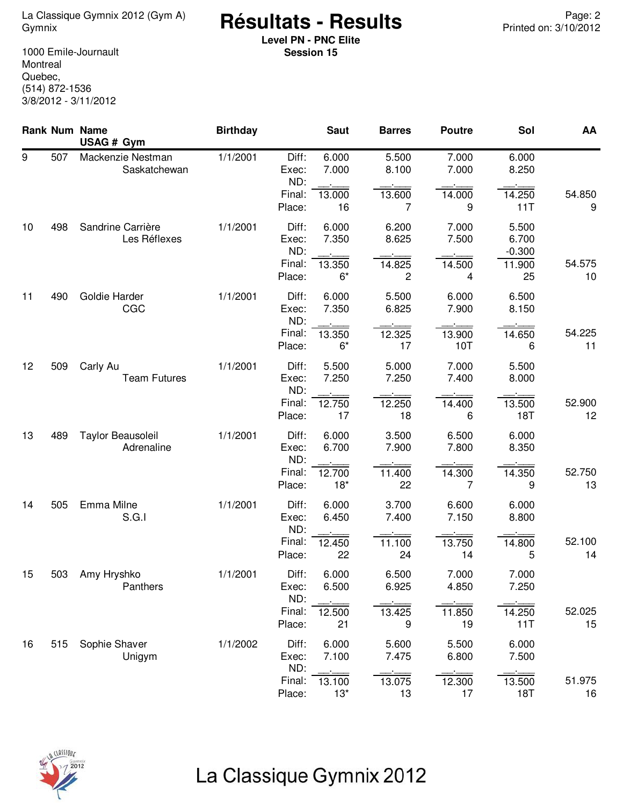<sup>2</sup> Page: La Classique Gymnix 2012 (Gym A) **Résultats - Results**<br>12/2012 Printed on: 3/10/2012

**Level PN - PNC Elite Session 15**

1000 Emile-Journault Montreal Quebec, (514) 872-1536 3/8/2012 - 3/11/2012

|    |     | Rank Num Name<br>USAG # Gym       | <b>Birthday</b> |                                           | <b>Saut</b>                      | <b>Barres</b>                              | <b>Poutre</b>                 | Sol                                        | AA           |
|----|-----|-----------------------------------|-----------------|-------------------------------------------|----------------------------------|--------------------------------------------|-------------------------------|--------------------------------------------|--------------|
| 9  | 507 | Mackenzie Nestman<br>Saskatchewan | 1/1/2001        | Diff:<br>Exec:<br>ND:                     | 6.000<br>7.000                   | 5.500<br>8.100                             | 7.000<br>7.000                | 6.000<br>8.250                             |              |
|    |     |                                   |                 | Final:<br>Place:                          | 13.000<br>16                     | 13.600<br>7                                | 14.000<br>9                   | 14.250<br>11T                              | 54.850<br>9  |
| 10 | 498 | Sandrine Carrière<br>Les Réflexes | 1/1/2001        | Diff:<br>Exec:<br>ND:<br>Final:<br>Place: | 6.000<br>7.350<br>13.350<br>$6*$ | 6.200<br>8.625<br>14.825<br>$\overline{c}$ | 7.000<br>7.500<br>14.500<br>4 | 5.500<br>6.700<br>$-0.300$<br>11.900<br>25 | 54.575<br>10 |
| 11 | 490 | Goldie Harder<br>CGC              | 1/1/2001        | Diff:<br>Exec:<br>ND:                     | 6.000<br>7.350                   | 5.500<br>6.825                             | 6.000<br>7.900                | 6.500<br>8.150                             |              |
|    |     |                                   |                 | Final:<br>Place:                          | 13.350<br>$6*$                   | 12.325<br>17                               | 13.900<br>10T                 | 14.650<br>6                                | 54.225<br>11 |
| 12 | 509 | Carly Au<br><b>Team Futures</b>   | 1/1/2001        | Diff:<br>Exec:<br>ND:                     | 5.500<br>7.250                   | 5.000<br>7.250                             | 7.000<br>7.400                | 5.500<br>8.000                             |              |
|    |     |                                   |                 | Final:<br>Place:                          | 12.750<br>17                     | 12.250<br>18                               | 14.400<br>6                   | 13.500<br>18T                              | 52.900<br>12 |
| 13 | 489 | Taylor Beausoleil<br>Adrenaline   | 1/1/2001        | Diff:<br>Exec:<br>ND:                     | 6.000<br>6.700                   | 3.500<br>7.900                             | 6.500<br>7.800                | 6.000<br>8.350                             |              |
|    |     |                                   |                 | Final:<br>Place:                          | 12.700<br>$18*$                  | 11.400<br>22                               | 14.300<br>7                   | 14.350<br>9                                | 52.750<br>13 |
| 14 | 505 | Emma Milne<br>S.G.I               | 1/1/2001        | Diff:<br>Exec:<br>ND:                     | 6.000<br>6.450                   | 3.700<br>7.400                             | 6.600<br>7.150                | 6.000<br>8.800                             |              |
|    |     |                                   |                 | Final:<br>Place:                          | 12.450<br>22                     | 11.100<br>24                               | 13.750<br>14                  | 14.800<br>5                                | 52.100<br>14 |
| 15 | 503 | Amy Hryshko<br>Panthers           | 1/1/2001        | Diff:<br>Exec:<br>ND:                     | 6.000<br>6.500                   | 6.500<br>6.925                             | 7.000<br>4.850                | 7.000<br>7.250                             |              |
|    |     |                                   |                 | Final:<br>Place:                          | 12.500<br>21                     | 13.425<br>9                                | 11.850<br>19                  | 14.250<br>11T                              | 52.025<br>15 |
| 16 | 515 | Sophie Shaver<br>Unigym           | 1/1/2002        | Diff:<br>Exec:<br>ND:                     | 6.000<br>7.100                   | 5.600<br>7.475                             | 5.500<br>6.800                | 6.000<br>7.500                             |              |
|    |     |                                   |                 | Final:<br>Place:                          | 13.100<br>$13*$                  | 13.075<br>13                               | 12.300<br>17                  | 13.500<br>18T                              | 51.975<br>16 |

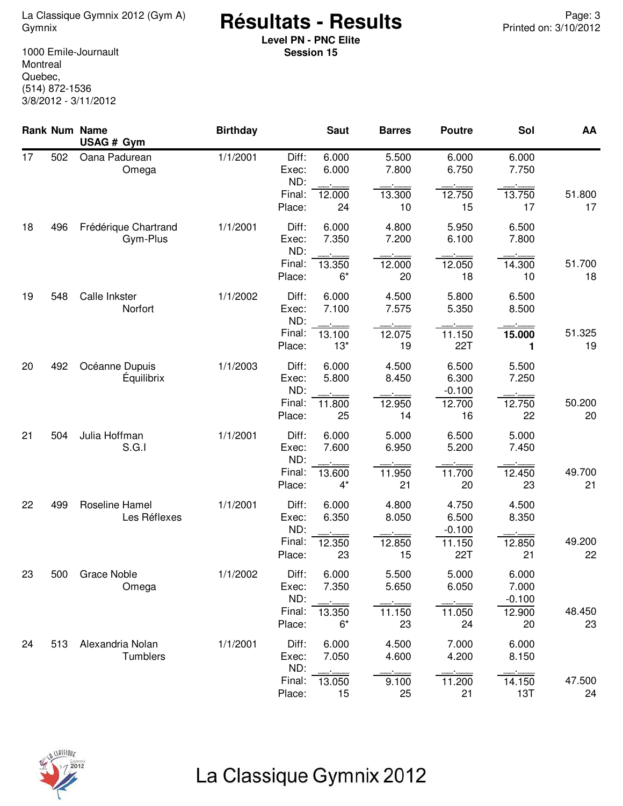<sup>2</sup> <sup>Page: 3</sup> La Classique Gymnix 2012 (Gym A) **Résultats - Results**<br>10/2012 Printed on: 3/10/2012

**Level PN - PNC Elite Session 15**

1000 Emile-Journault Montreal Quebec, (514) 872-1536 3/8/2012 - 3/11/2012

|    |     | <b>Rank Num Name</b><br>USAG # Gym  | <b>Birthday</b> |                                 | <b>Saut</b>     | <b>Barres</b>  | <b>Poutre</b>              | Sol                        | AA           |
|----|-----|-------------------------------------|-----------------|---------------------------------|-----------------|----------------|----------------------------|----------------------------|--------------|
| 17 | 502 | Oana Padurean<br>Omega              | 1/1/2001        | Diff:<br>Exec:<br>ND:           | 6.000<br>6.000  | 5.500<br>7.800 | 6.000<br>6.750             | 6.000<br>7.750             |              |
|    |     |                                     |                 | Final:<br>Place:                | 12.000<br>24    | 13.300<br>10   | 12.750<br>15               | 13.750<br>17               | 51.800<br>17 |
| 18 | 496 | Frédérique Chartrand<br>Gym-Plus    | 1/1/2001        | Diff:<br>Exec:<br>ND:           | 6.000<br>7.350  | 4.800<br>7.200 | 5.950<br>6.100             | 6.500<br>7.800             |              |
|    |     |                                     |                 | Final:<br>Place:                | 13.350<br>$6*$  | 12.000<br>20   | 12.050<br>18               | 14.300<br>10               | 51.700<br>18 |
| 19 | 548 | Calle Inkster<br>Norfort            | 1/1/2002        | Diff:<br>Exec:<br>ND:           | 6.000<br>7.100  | 4.500<br>7.575 | 5.800<br>5.350             | 6.500<br>8.500             |              |
|    |     |                                     |                 | Final:<br>Place:                | 13.100<br>$13*$ | 12.075<br>19   | 11.150<br>22T              | 15.000<br>1                | 51.325<br>19 |
| 20 | 492 | Océanne Dupuis<br><b>Equilibrix</b> | 1/1/2003        | Diff:<br>Exec:<br>ND:           | 6.000<br>5.800  | 4.500<br>8.450 | 6.500<br>6.300<br>$-0.100$ | 5.500<br>7.250             |              |
|    |     |                                     |                 | Final:<br>Place:                | 11.800<br>25    | 12.950<br>14   | 12.700<br>16               | 12.750<br>22               | 50.200<br>20 |
| 21 | 504 | Julia Hoffman<br>S.G.I              | 1/1/2001        | Diff:<br>Exec:<br>ND:           | 6.000<br>7.600  | 5.000<br>6.950 | 6.500<br>5.200             | 5.000<br>7.450             |              |
|    |     |                                     |                 | Final:<br>Place:                | 13.600<br>$4^*$ | 11.950<br>21   | 11.700<br>20               | 12.450<br>23               | 49.700<br>21 |
| 22 | 499 | Roseline Hamel<br>Les Réflexes      | 1/1/2001        | Diff:<br>Exec:<br>ND:           | 6.000<br>6.350  | 4.800<br>8.050 | 4.750<br>6.500<br>$-0.100$ | 4.500<br>8.350             |              |
|    |     |                                     |                 | Final:<br>Place:                | 12.350<br>23    | 12.850<br>15   | 11.150<br>22T              | 12.850<br>21               | 49.200<br>22 |
| 23 | 500 | <b>Grace Noble</b><br>Omega         | 1/1/2002        | Diff:<br>Exec:<br>ND:<br>Final: | 6.000<br>7.350  | 5.500<br>5.650 | 5.000<br>6.050             | 6.000<br>7.000<br>$-0.100$ |              |
|    |     |                                     |                 | Place:                          | 13.350<br>$6*$  | 11.150<br>23   | 11.050<br>24               | 12.900<br>20               | 48.450<br>23 |
| 24 | 513 | Alexandria Nolan<br>Tumblers        | 1/1/2001        | Diff:<br>Exec:<br>ND:           | 6.000<br>7.050  | 4.500<br>4.600 | 7.000<br>4.200             | 6.000<br>8.150             |              |
|    |     |                                     |                 | Final:<br>Place:                | 13.050<br>15    | 9.100<br>25    | 11.200<br>21               | 14.150<br>13T              | 47.500<br>24 |